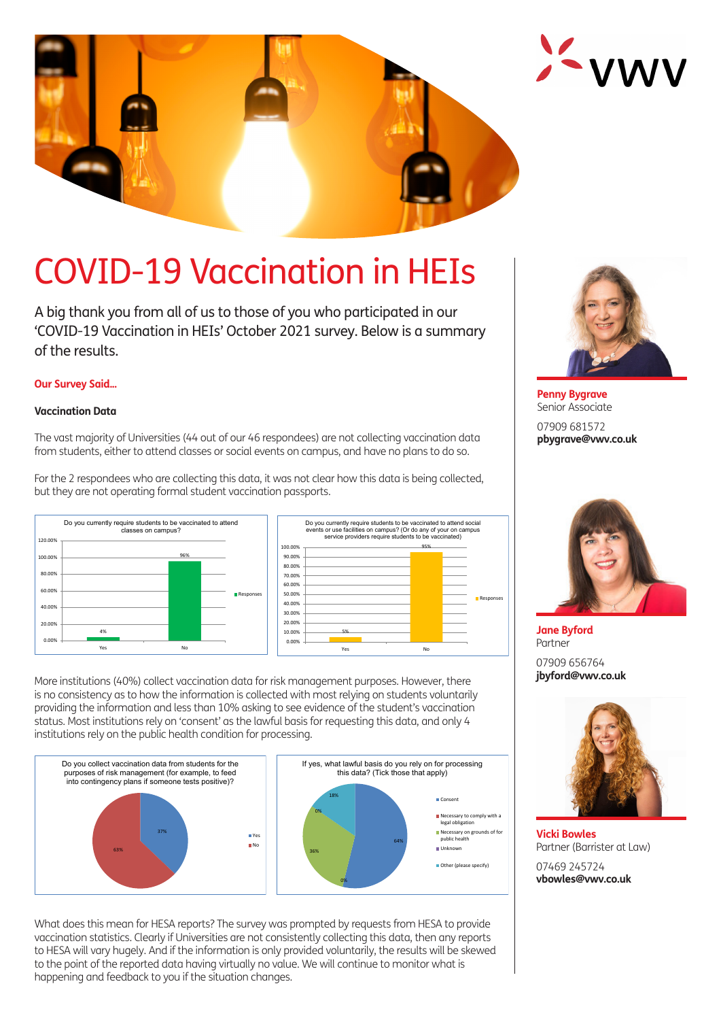



A big thank you from all of us to those of you who participated in our 'COVID-19 Vaccination in HEIs' October 2021 survey. Below is a summary of the results.

### **Our Survey Said...**

#### **Vaccination Data**

The vast majority of Universities (44 out of our 46 respondees) are not collecting vaccination data from students, either to attend classes or social events on campus, and have no plans to do so.

For the 2 respondees who are collecting this data, it was not clear how this data is being collected, but they are not operating formal student vaccination passports.





More institutions (40%) collect vaccination data for risk management purposes. However, there is no consistency as to how the information is collected with most relying on students voluntarily providing the information and less than 10% asking to see evidence of the student's vaccination status. Most institutions rely on 'consent' as the lawful basis for requesting this data, and only 4 institutions rely on the public health condition for processing.



What does this mean for HESA reports? The survey was prompted by requests from HESA to provide vaccination statistics. Clearly if Universities are not consistently collecting this data, then any reports to HESA will vary hugely. And if the information is only provided voluntarily, the results will be skewed to the point of the reported data having virtually no value. We will continue to monitor what is happening and feedback to you if the situation changes.



**Penny Bygrave** Senior Associate

07909 681572 **pbygrave@vwv.co.uk**



**Jane Byford** Partner

07909 656764 **jbyford@vwv.co.uk**



**Vicki Bowles** Partner (Barrister at Law)

07469 245724 **vbowles@vwv.co.uk**